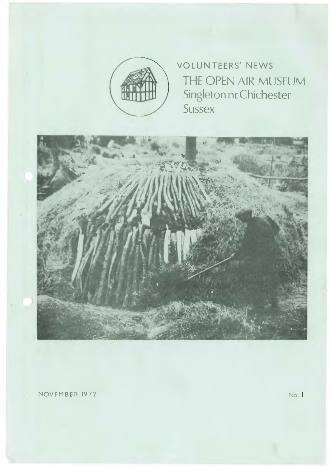

• VOLUNTEERS' NEWS THE OPEN AIR MUSEUM Singleton nr. Chichester **Sussex** 



NOVEMBER 1972 No.1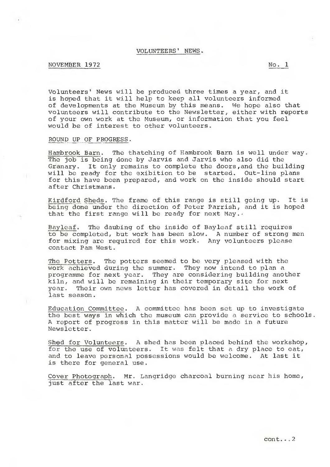### VOLUNTEERS' NEWS.

# NOVEMBER 1972 No. 1

Volunteers' News will be produced three times a year, and it is hoped that it will help to keep all volunteers informed of developments at the Museum by this means. We hope also that volunteers will contribute to the Newsletter, either with reports of your own work at the Museum, or information that you feel would be of interest to other volunteers.

### ROUND UP OF PROGRESS.

Hambrook Barn. The thatching of Hambrook Barn is well under way. The job is being done by Jarvis and Jarvis who also did the Granary. It only remains to complete the doors,and the building will be ready for the exibition to be started. Out-line plans for this have been prepared, and work on the inside should start after Christmans.

Kirdford Sheds. The frame of this range is still going up. It is being done under the direction of Peter Parrish, and it is hoped that the first range will be ready for next May.,

Bayleaf. The daubing of the inside of Bayleaf still requires to be completed, but work has been slow. A number of strong men for mixing are required for this work. Any volunteers please contact Pam West.

The Potters. The potters seemed to be very pleased with the work achieved during the summer. They now intend to plan a programme for next year. They are considering building another kiln, and will be remaining in their temporary site for next year. Their own news letter has covered in detail the work of last season.

the the best ways in which the museum can provide a service to schools. Education Committee. A committee has been set up to investigate A report of progress in this matter will be made in a future Newsletter.

Shed for Volunteers. A shed has been placed behind the workshop, for the use of volunteers. It was felt that a dry place to eat, and to leave personal possessions would be welcome. At last it is there for general use.

Cover Photograph. Mr. Langridge charcoal burning near his home, just after the last war.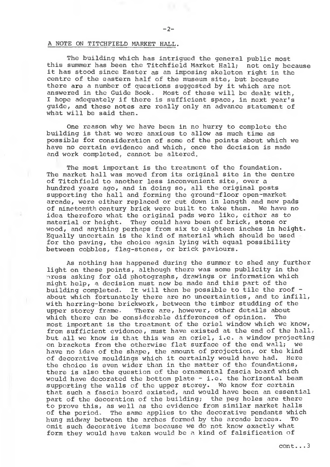#### A NOTE ON TITCHFIELD MARKET HALL.

The building which has intrigued the general public most this summer has been the Titchfield Market Hall; not only because it has stood since Easter as an imposing skeleton right in the centre of the eastern half of the museum site, but because there are a number of questions suggested by it which are not answered in the Guide Book. Most of these will be dealt with, I hope adequately if there is sufficient space, in next year's guide, and these notes are really only an advance statement of what will be said then.

One reason why we have been in no hurry to complete the building is that we were anxious to allow as much time as possible for consideration of some of the points about which we have no certain evidence and which, once the decision is made and work completed, cannot be altered.

The most important is the treatment of the foundation. The market hall was moved from its original site in the centre of Titchfield to another less inconvenient site, over a hundred years ago, and in doing so, all the original posts supporting the hall and forming the ground-floor open-market arcade, were either replaced or cut down in length and new pads of nineteenth century brick were built to take them. We have no idea therefore what the original pads were like, either as to material or height. They could have been of brick, stone or wood, and anything perhaps from six to eighteen inches in height. Equally uncertain is the kind of material which should be used for the paving, the choice again lying with equal possibility between cobbles, flag-stones, or brick paviours.

As nothing has happened during the summer to shed any further light on these points, although there was some publicity in the press asking for old photographs, drawings or information which might help, a decision must now be made and this part of the building completed. It will then be possible to tile the roof about which fortunately there are no uncertainties, and to infill, with herring-bone brickwork, between the timber studding of the upper storey frame. There are, however, other details about which there can be considerable differences of opinion. The most important is the treatment of the oriel window which we know, from sufficient evidence, must have existed at the end of the hall, but all we know is that this was an oriel, i.e. a window projecting on brackets from the otherwise flat surface of the end wall; we have no idea of the shape, the amount of projection, or the kind of decorative mouldings which it certainly would have had. Here the choice is even wider than in the matter of the foundations, there is also the question of the ornamental fascia board which would have decorated the bottom plate - i.e. the horizontal beam supporting the walls of the upper storey. We know for certain that such a fascia board existed, and would have been an essential part of the decoration of the building; the peg holes are there to prove this, as well as the evidence from similar market halls of the period. The same applies to the decorative pendants which hung midway between the arches formed by the arcade braces. To omit such decorative items because we do not know exactly what form they would have taken would be a kind of falsification of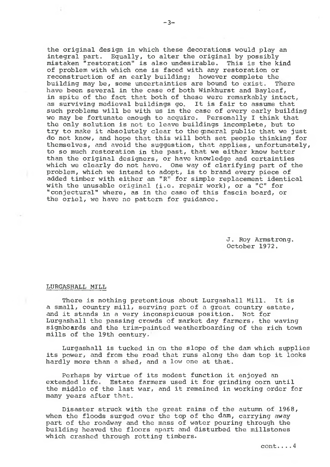the original design in which these decorations would play an integral part. Equally, to alter the original by possibly mistaken "restoration" is also undesirable. This is the kind of problem with which one is faced with any restoration or reconstruction of an early building; however complete the building may be, some uncertainties are bound to exist. There building may be, some uncertainties are bound to exist. have been several in the case of both Winkhurst and Bayleaf, in spite of the fact that both of these were remarkably intact, as surviving medieval buildings go. It is fair to assume that such problems will be with us in the case of every early building we may be fortunate enough to acquire. Personally I think that the only solution is not to leave buildings incomplete, but to try to make it absolutely clear to the general public that we just do not know, and hope that this will both set people thinking for themselves, and avoid the suggestion, that applies, unfortunately, to so much restoration in the past, that we either know better than the original designers, or have knowledge and certainties which we clearly do not have. One way of clarifying part of the problem, which we intend to adopt, is to brand every piece of added timber with either an "R" for simple replacement identical with the unusable original (i.e. repair work), or a "C" for "conjectural" where, as in the case of this fascia board, or the oriel, we have no pattern for guidance.

> J. Roy Armstrong. October 1972.

#### LURGASHALL MILL

There is nothing pretentious about Lurgashall Mill. It is a small, country mill, serving part of a great country estate, and it stands in a very inconspicuous position. Not for Lurgashall the passing crowds of market day farmers, the waving signboards and the trim-painted weatherboarding of the rich town mills of the 19th century.

Lurgashall is tucked in on the slope of the dam which supplies its power, and from the road that runs along the dam top it looks hardly more than a shed, and a low one at that.

Perhaps by virtue of its modest function it enjoyed an extended life. Estate farmers used it for grinding corn until the middle of the last war, and it remained in working order for many years after that.

Disaster struck with the great rains of the autumn of 1968, when the floods surged over the top of the dam, carrying away part of the roadway and the mass of water pouring through the building heaved the floors apart and disturbed the millstones which crashed through rotting timbers.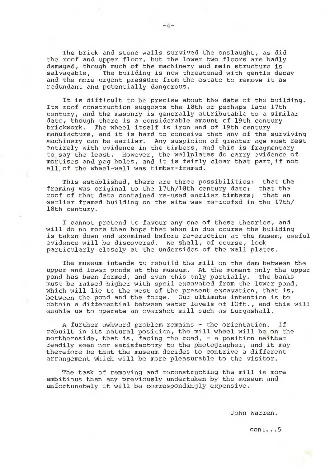The brick and stone walls survived the onslaught, as did the roof and upper floor, but the lower two floors are badly damaged, though much of the machinery and main structure is salvagable. The building is now threatened with gentle decay and the more urgent pressure from the estate to remove it as redundant and potentially dangerous.

It is difficult to be precise about the date of the building. Its roof construction suggests the 18th or perhaps late 17th century, and the masonry is generally attributable to a similar date, though there is a considerable amount of 19th century brickwork. The wheel itself is iron and of 19th century manufacture, and it is hard to conceive that any of the surviving machinery can be earlier. Any suspicion of greater age must rest entirely with evidence in the timbers, and this is fragmentary to say the least. However, the waliplates do carry evidence of mortises and peg holes, and it is fairly clear that part, if not all, of the wheel-wall was timber-framed.

This established, there are three possibilities: that the<br>ing was original to the 17th/18th century date: that the framing was original to the 17th/18th century date; roof of that date contained re-used earlier timbers; that an earlier framed building on the site was re-roofed in the 17th/ 18th century.

I cannot pretend to favour any one of these theories, and will do no more than hope that when in due course the building is taken down and examined before re-erection at the musem, useful evidence will be discovered. We shall, of course, look particularly closely at the undersides of the wall plates.

The museum intends to rebuild the mill on the dam between the upper and lower ponds at the museum. At the moment only the upper pond has been formed, and even this only partially. The banks must be raised higher with spoil excavated from the lower pond, which will lie to the west of the present excavation, that is, between the pond and the forge. Our ultimate intention is to obtain a differential between water levels of loft., and this will enable us to operate an overshot mill such as Lurgashall.

A further awkward problem remains - the orientation. If rebuilt in its natural position, the mill wheel will be on the northernside, that is, facing the road,  $-$  a position neither readily seen nor satisfactory to the photographer, and it may therefore be that the museum decides to contrive a different arrangement which will be more pleasurable to the visitor.

The task of removing and reconstructing the mill is more ambitious than any previously undertaken by the museum and unfortunately it will be correspondingly expensive.

John Warren.

cont...5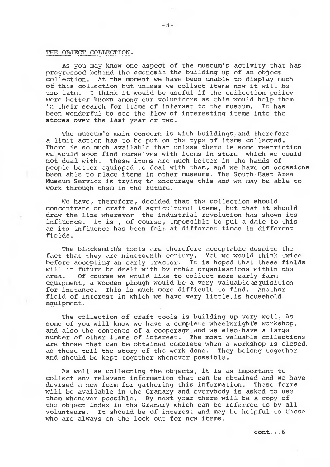# THE OBJECT COLLECTION.

As you may know one aspect of the museum's activity that has progressed behind the scenes is the building up of an object collection. At the moment we have been unable to display much of this collection but unless we collect items now it will be too late. I think it would be useful if the collection policy were better known among our volunteers as this would help them in their search for items of interest to the museum. It has been wonderful to see the flow of interesting items into the stores over the last year or two.

The museum's main concern is with buildings, and therefore a limit action has to be put on the type of items collected. There is so much available that unless there is some restriction we would soon find ourselves with items in store which we could not deal with. These items are much better in the hands of People better equipped to deal with them, and we have on occasions been able to place items in other museums. The South-East Area Museum Service is trying to encourage this and we may be able to work through them in the future.

We have, therefore, decided that the collection should concentrate on craft and agricultural items, but that it should draw the line wherever the industrial revolution has shown its influence. It is , of course, impossible to put a date to this as its influence has been felt at different times in different fields.

The blacksmith's tools are therefore acceptable despite the fact that they are nineteenth century. Yet we would think twice before accepting an early tractor. It is hoped that these fields will in future be dealt with by other organisations within the area. Of course we would like to collect more early farm equipment, a wooden plough would be a very Valuableacquisition for instance. This is much more difficult to find. Another field of interest in which we have very little, is household equipment.

The collection of craft tools is building up very well, As some of you will know we have a complete wheelwright's workshop, and also the contents of a cooperage, and we also have a large number of other items of interest. The most valuable collections are those that can be obtained complete when a workshop is closed, as these tell the story of the work done. They belong together and should be kept together whenever possible.

As well as collecting the objects, it is as important to collect any relevant information that can be obtained, and we have devised a new form for gathering this information. These forms will be available in the Granary and everybody is asked to use them whenever possible. By next year there will be a copy of the object index in the Granary which can be referred to by all volunteers. It should be of interest and may be helpful to those who are always on the look out for new items.

cont...6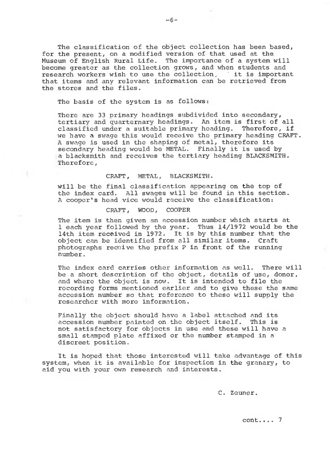The classification of the object collection has been based, for the present, on a modified version of that used at the Museum of English Rural Life. The importance of a system will become greater as the collection grows, and when students and research workers wish to use the collection, ' it is important that items and any relevant information can be retrieved from the stores and the files.

The basis of the system is as follows:

There are 33 primary headings subdivided into secondary, tertiary and quarternary headings. An item is first of all classified under a suitable primary heading. Therefore, if we have a swage this would receive the primary heading CRAFT. A swage is used in the shaping of metal, therefore its secondary heading would be METAL. Finally it is used by a blacksmith and receives the tertiary heading BLACKSMITH. Therefore,

CRAFT, METAL, BLACKSMITH.

will be the final classification appearing on the top of the index card. All swages will be found in this section. A cooper's head vice would receive the classification:

CRAFT, WOOD, COOPER

The item is then given an accession number which starts at 1 each year followed by the year. Thus 14/1972 would be the 14th item received in 1972. It is by this number that the object can be identified from all similar items. Craft photographs receive the prefix P in front of the running number.

The index card carries other information as well. There will be a short description of the object, details of use, donor, and where the object is now. It is intended to file the recording forms mentioned earlier and to give these the same accession number so that reference to these will supply the researcher with more information.

Finally the object should have a label attached and its accession number painted on the object itself. This is not satisfactory for objects in use and these will have a small stamped plate affixed or the number stamped in a discreet position.

It is hoped that those interested will take advantage of this system, when it is available for inspection in the granary, to aid you with your own research and interests.

C. Zeuner.

cont.... 7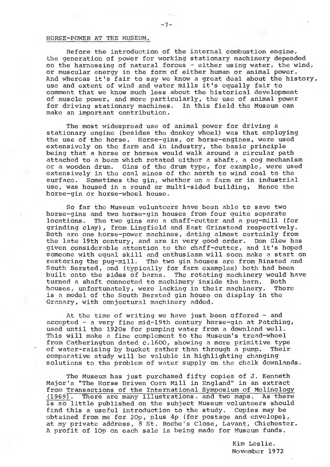# HORSE-POWER AT THE MUSEUM.

Before the introduction of the internal combustion engine, the generation of power for working stationary machinery depended on the harnessing of natural forces  $-$  either using water, the wind, or muscular energy in the form of either human or animal power. And whereas it's fair to say we know a great deal about the history, use and extent of wind and water mills it's equally fair to comment that we know much less about the historical development of muscle power, and more particularly, the use of animal power for driving stationary machines. In this field the Museum can make an important contribution.

The most widespread use of animal power for driving a stationary engine (besides the donkey wheel) was that employing the use of the horse. Horse-gins, or horse-engines, were used extensively on the farm and in industry, the basic principle being that a horse or horses would walk around a circular path attached to a beam which rotated either a shaft, a cog mechanism<br>or a wooden drum. Gins of the drum type, for example, were used Gins of the drum type, for example, were used extensively in the coal mines of the north to wind coal to the surface. Sometimes the gin, whether on a farm or in industrial use, was housed in a round or multi-sided building, Hence the horse-gin or horse-wheel house.

So far the Museum volunteers have been able to save two horse-gins and two horse-gin houses from four quite separate locations. The two gins are a chaff-cutter and a pug-mill (for grinding clay), from Lingfield and East Grinstead respectively. Both are one horse-power machines, dating almost certainly from the late 19th century, and are in very good order. Don Glew has given considerable attention to the chaff-cutter, and it's hoped someone with equal skill and enthusiasm will soon make a start on restoring the pug-mill. The two gin houses are from Binsted and South Bersted, and (typically for farm examples) both had been built onto the sides of barns. The rotating machinery would have turned a shaft connected to machinery inside the barn. Both houses, unfortunately, were lacking in their machinery. is a model of the South Bersted gin house on display in the Granary, with conjectural machinery added.

At the time of writing we have just been offered  $-$  and accepted - a very fine mid-19th century horse-gin at Patching, used until the 1920s for pumping water from a downland well. This will make a fine complement to the Museum's tread-wheel from Catherington dated c.1600, showing a more primitive type of water-raising by bucket rather than through a pump. Their comparative study will be valuble in highlighting changing solutions to the problem of water supply on the chalk downlands.

The Museum has just purchased fifty copies of J. Kenneth Major's "The Horse Driven Corn Mill in England" in an extract from Transactions of the International Symposium of Molinology (1969). There are many illustrations, and two maps. As there There are many illustrations, and two maps. As there is so little published on the subject Museum volunteers should find this a useful introduction to the study. Copies may be obtained from me for 20p, plus 4p (for postage and envelope), at my private address, 8 St. Roche's Close, Lavant, Chichester. A profit of 10p on each sale is being made for Museum funds.

> Kim Leslie. November 1972